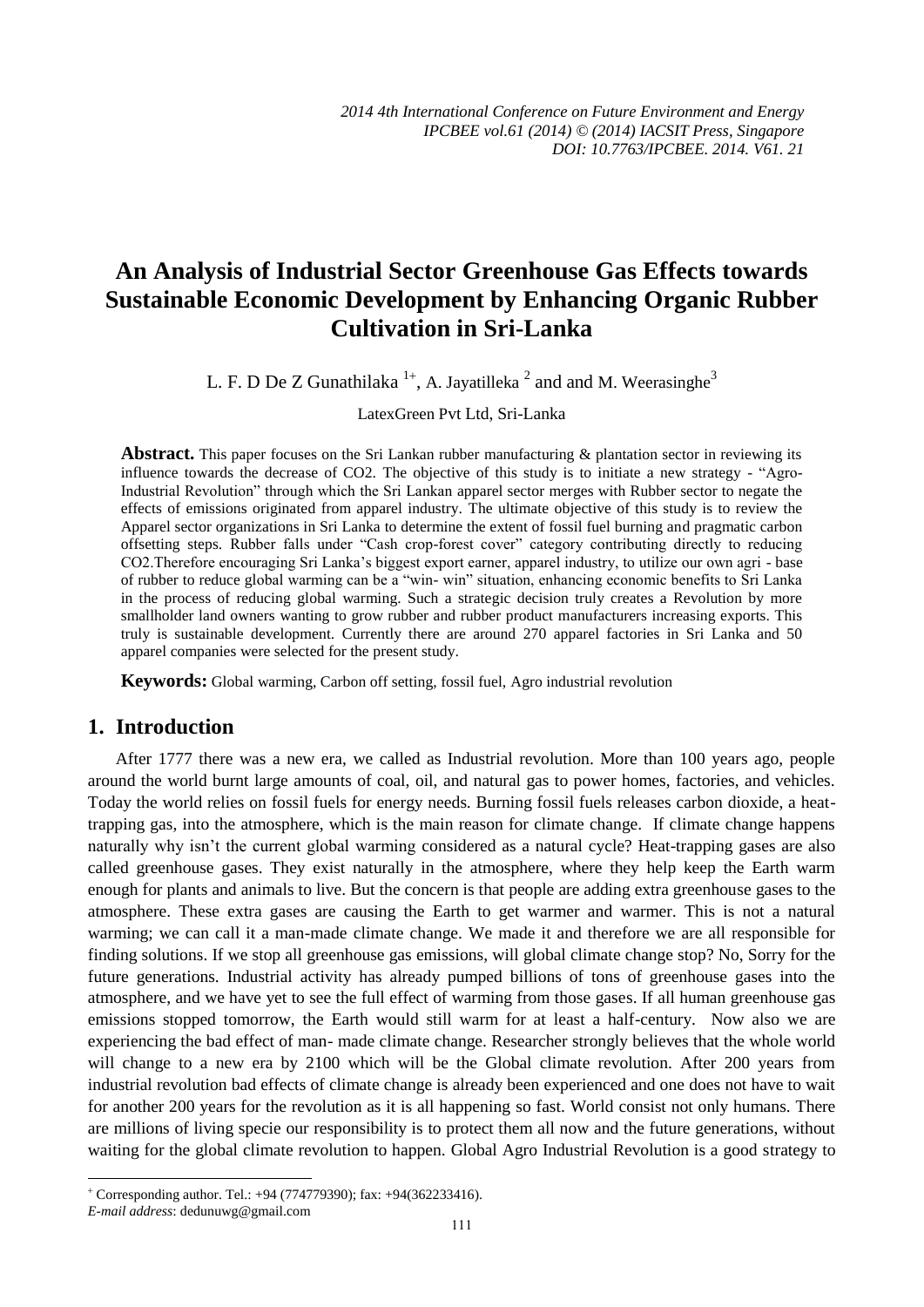# **An Analysis of Industrial Sector Greenhouse Gas Effects towards Sustainable Economic Development by Enhancing Organic Rubber Cultivation in Sri-Lanka**

L. F. D De Z Gunathilaka  $^{1+}$ , A. Jayatilleka  $^2$  and and M. Weerasinghe<sup>3</sup>

LatexGreen Pvt Ltd, Sri-Lanka

Abstract. This paper focuses on the Sri Lankan rubber manufacturing & plantation sector in reviewing its influence towards the decrease of CO2. The objective of this study is to initiate a new strategy - "Agro-Industrial Revolution" through which the Sri Lankan apparel sector merges with Rubber sector to negate the effects of emissions originated from apparel industry. The ultimate objective of this study is to review the Apparel sector organizations in Sri Lanka to determine the extent of fossil fuel burning and pragmatic carbon offsetting steps. Rubber falls under "Cash crop-forest cover" category contributing directly to reducing CO2.Therefore encouraging Sri Lanka's biggest export earner, apparel industry, to utilize our own agri - base of rubber to reduce global warming can be a "win- win" situation, enhancing economic benefits to Sri Lanka in the process of reducing global warming. Such a strategic decision truly creates a Revolution by more smallholder land owners wanting to grow rubber and rubber product manufacturers increasing exports. This truly is sustainable development. Currently there are around 270 apparel factories in Sri Lanka and 50 apparel companies were selected for the present study.

**Keywords:** Global warming, Carbon off setting, fossil fuel, Agro industrial revolution

#### **1. Introduction**

After 1777 there was a new era, we called as Industrial revolution. More than 100 years ago, people around the world burnt large amounts of coal, oil, and natural gas to power homes, factories, and vehicles. Today the world relies on fossil fuels for energy needs. Burning fossil fuels releases carbon dioxide, a heattrapping gas, into the atmosphere, which is the main reason for climate change. If climate change happens naturally why isn't the current global warming considered as a natural cycle? Heat-trapping gases are also called greenhouse gases. They exist naturally in the atmosphere, where they help keep the Earth warm enough for plants and animals to live. But the concern is that people are adding extra greenhouse gases to the atmosphere. These extra gases are causing the Earth to get warmer and warmer. This is not a natural warming; we can call it a man-made climate change. We made it and therefore we are all responsible for finding solutions. If we stop all greenhouse gas emissions, will global climate change stop? No, Sorry for the future generations. Industrial activity has already pumped billions of tons of greenhouse gases into the atmosphere, and we have yet to see the full effect of warming from those gases. If all human greenhouse gas emissions stopped tomorrow, the Earth would still warm for at least a half-century. Now also we are experiencing the bad effect of man- made climate change. Researcher strongly believes that the whole world will change to a new era by 2100 which will be the Global climate revolution. After 200 years from industrial revolution bad effects of climate change is already been experienced and one does not have to wait for another 200 years for the revolution as it is all happening so fast. World consist not only humans. There are millions of living specie our responsibility is to protect them all now and the future generations, without waiting for the global climate revolution to happen. Global Agro Industrial Revolution is a good strategy to

1

 Corresponding author. Tel.: +94 (774779390); fax: +94(362233416).

*E-mail address*: dedunuwg@gmail.com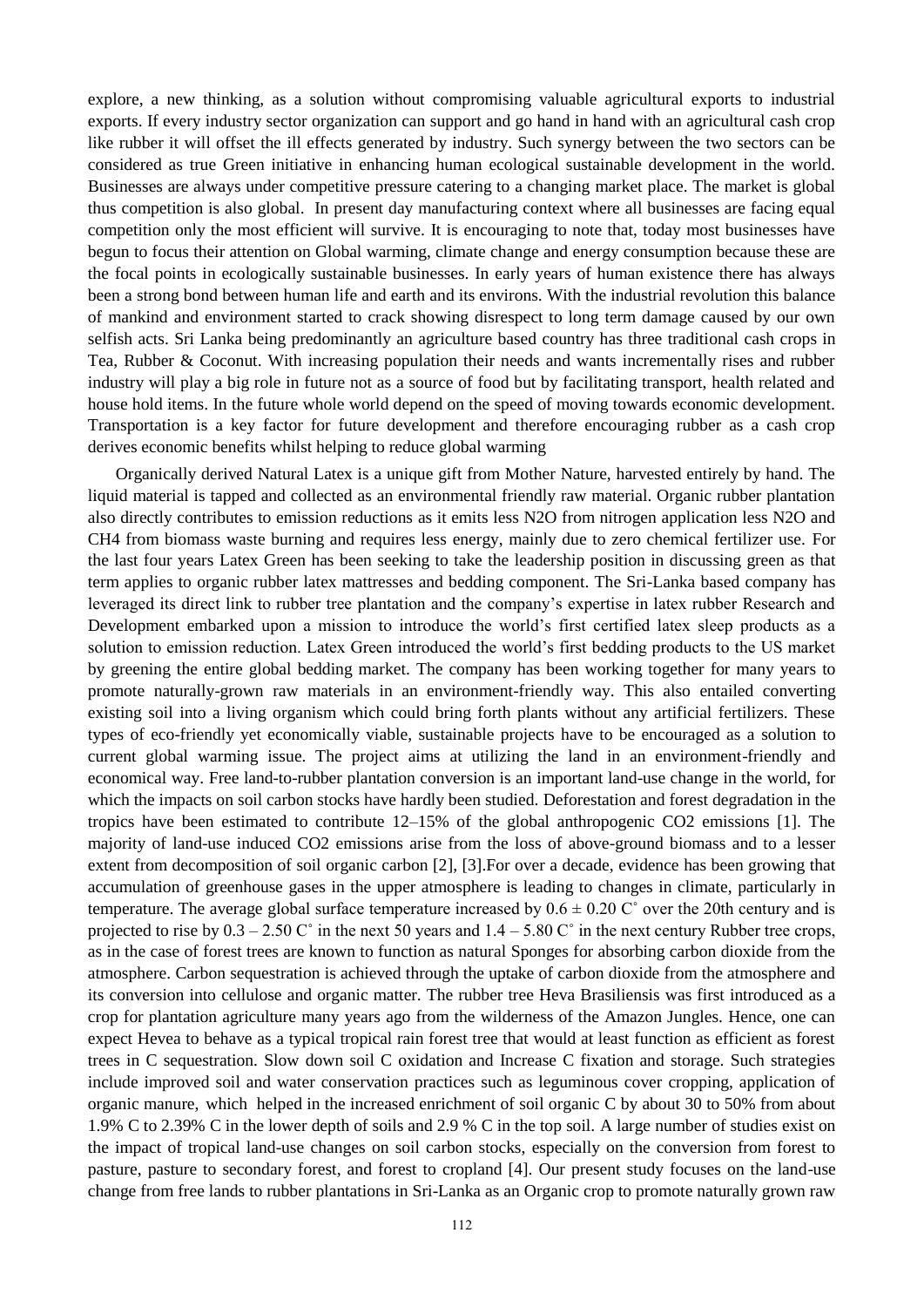explore, a new thinking, as a solution without compromising valuable agricultural exports to industrial exports. If every industry sector organization can support and go hand in hand with an agricultural cash crop like rubber it will offset the ill effects generated by industry. Such synergy between the two sectors can be considered as true Green initiative in enhancing human ecological sustainable development in the world. Businesses are always under competitive pressure catering to a changing market place. The market is global thus competition is also global. In present day manufacturing context where all businesses are facing equal competition only the most efficient will survive. It is encouraging to note that, today most businesses have begun to focus their attention on Global warming, climate change and energy consumption because these are the focal points in ecologically sustainable businesses. In early years of human existence there has always been a strong bond between human life and earth and its environs. With the industrial revolution this balance of mankind and environment started to crack showing disrespect to long term damage caused by our own selfish acts. Sri Lanka being predominantly an agriculture based country has three traditional cash crops in Tea, Rubber & Coconut. With increasing population their needs and wants incrementally rises and rubber industry will play a big role in future not as a source of food but by facilitating transport, health related and house hold items. In the future whole world depend on the speed of moving towards economic development. Transportation is a key factor for future development and therefore encouraging rubber as a cash crop derives economic benefits whilst helping to reduce global warming

Organically derived Natural Latex is a unique gift from Mother Nature, harvested entirely by hand. The liquid material is tapped and collected as an environmental friendly raw material. Organic rubber plantation also directly contributes to emission reductions as it emits less N2O from nitrogen application less N2O and CH4 from biomass waste burning and requires less energy, mainly due to zero chemical fertilizer use. For the last four years Latex Green has been seeking to take the leadership position in discussing green as that term applies to organic rubber latex mattresses and bedding component. The Sri-Lanka based company has leveraged its direct link to rubber tree plantation and the company's expertise in latex rubber Research and Development embarked upon a mission to introduce the world's first certified latex sleep products as a solution to emission reduction. Latex Green introduced the world's first bedding products to the US market by greening the entire global bedding market. The company has been working together for many years to promote naturally-grown raw materials in an environment-friendly way. This also entailed converting existing soil into a living organism which could bring forth plants without any artificial fertilizers. These types of eco-friendly yet economically viable, sustainable projects have to be encouraged as a solution to current global warming issue. The project aims at utilizing the land in an environment-friendly and economical way. Free land-to-rubber plantation conversion is an important land-use change in the world, for which the impacts on soil carbon stocks have hardly been studied. Deforestation and forest degradation in the tropics have been estimated to contribute 12–15% of the global anthropogenic CO2 emissions [1]. The majority of land-use induced CO2 emissions arise from the loss of above-ground biomass and to a lesser extent from decomposition of soil organic carbon [2], [3].For over a decade, evidence has been growing that accumulation of greenhouse gases in the upper atmosphere is leading to changes in climate, particularly in temperature. The average global surface temperature increased by  $0.6 \pm 0.20$  C $\degree$  over the 20th century and is projected to rise by  $0.3 - 2.50 \degree$  in the next 50 years and  $1.4 - 5.80 \degree$  in the next century Rubber tree crops, as in the case of forest trees are known to function as natural Sponges for absorbing carbon dioxide from the atmosphere. Carbon sequestration is achieved through the uptake of carbon dioxide from the atmosphere and its conversion into cellulose and organic matter. The rubber tree Heva Brasiliensis was first introduced as a crop for plantation agriculture many years ago from the wilderness of the Amazon Jungles. Hence, one can expect Hevea to behave as a typical tropical rain forest tree that would at least function as efficient as forest trees in C sequestration. Slow down soil C oxidation and Increase C fixation and storage. Such strategies include improved soil and water conservation practices such as leguminous cover cropping, application of organic manure, which helped in the increased enrichment of soil organic C by about 30 to 50% from about 1.9% C to 2.39% C in the lower depth of soils and 2.9 % C in the top soil. A large number of studies exist on the impact of tropical land-use changes on soil carbon stocks, especially on the conversion from forest to pasture, pasture to secondary forest, and forest to cropland [4]. Our present study focuses on the land-use change from free lands to rubber plantations in Sri-Lanka as an Organic crop to promote naturally grown raw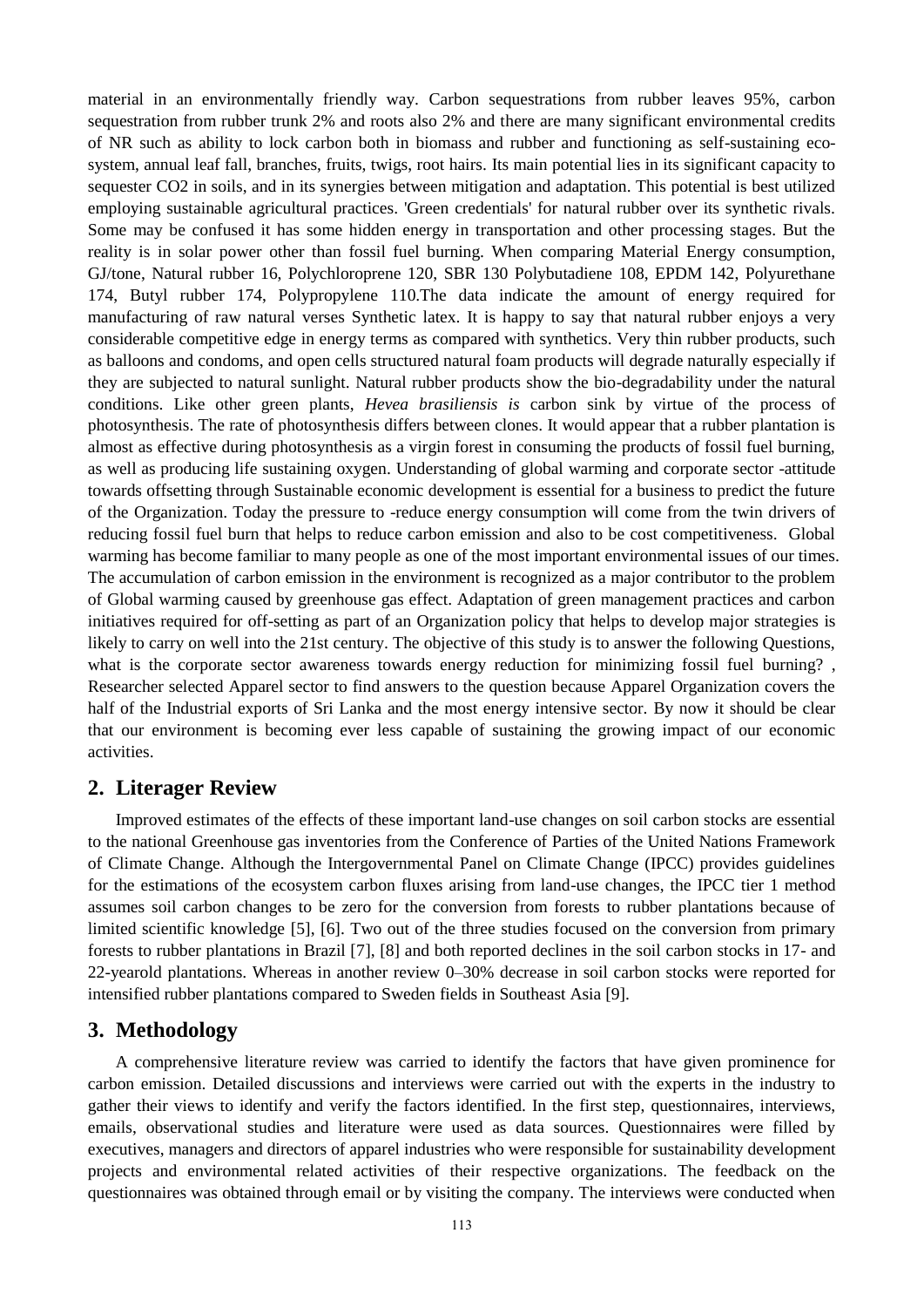material in an environmentally friendly way. Carbon sequestrations from rubber leaves 95%, carbon sequestration from rubber trunk 2% and roots also 2% and there are many significant environmental credits of NR such as ability to lock carbon both in biomass and rubber and functioning as self-sustaining ecosystem, annual leaf fall, branches, fruits, twigs, root hairs. Its main potential lies in its significant capacity to sequester CO2 in soils, and in its synergies between mitigation and adaptation. This potential is best utilized employing sustainable agricultural practices. 'Green credentials' for natural rubber over its synthetic rivals. Some may be confused it has some hidden energy in transportation and other processing stages. But the reality is in solar power other than fossil fuel burning. When comparing Material Energy consumption, GJ/tone, Natural rubber 16, Polychloroprene 120, SBR 130 Polybutadiene 108, EPDM 142, Polyurethane 174, Butyl rubber 174, Polypropylene 110.The data indicate the amount of energy required for manufacturing of raw natural verses Synthetic latex. It is happy to say that natural rubber enjoys a very considerable competitive edge in energy terms as compared with synthetics. Very thin rubber products, such as balloons and condoms, and open cells structured natural foam products will degrade naturally especially if they are subjected to natural sunlight. Natural rubber products show the bio-degradability under the natural conditions. Like other green plants, *Hevea brasiliensis is* carbon sink by virtue of the process of photosynthesis. The rate of photosynthesis differs between clones. It would appear that a rubber plantation is almost as effective during photosynthesis as a virgin forest in consuming the products of fossil fuel burning, as well as producing life sustaining oxygen. Understanding of global warming and corporate sector -attitude towards offsetting through Sustainable economic development is essential for a business to predict the future of the Organization. Today the pressure to -reduce energy consumption will come from the twin drivers of reducing fossil fuel burn that helps to reduce carbon emission and also to be cost competitiveness. Global warming has become familiar to many people as one of the most important environmental issues of our times. The accumulation of carbon emission in the environment is recognized as a major contributor to the problem of Global warming caused by greenhouse gas effect. Adaptation of green management practices and carbon initiatives required for off-setting as part of an Organization policy that helps to develop major strategies is likely to carry on well into the 21st century. The objective of this study is to answer the following Questions, what is the corporate sector awareness towards energy reduction for minimizing fossil fuel burning? , Researcher selected Apparel sector to find answers to the question because Apparel Organization covers the half of the Industrial exports of Sri Lanka and the most energy intensive sector. By now it should be clear that our environment is becoming ever less capable of sustaining the growing impact of our economic activities.

#### **2. Literager Review**

Improved estimates of the effects of these important land-use changes on soil carbon stocks are essential to the national Greenhouse gas inventories from the Conference of Parties of the United Nations Framework of Climate Change. Although the Intergovernmental Panel on Climate Change (IPCC) provides guidelines for the estimations of the ecosystem carbon fluxes arising from land-use changes, the IPCC tier 1 method assumes soil carbon changes to be zero for the conversion from forests to rubber plantations because of limited scientific knowledge [5], [6]. Two out of the three studies focused on the conversion from primary forests to rubber plantations in Brazil [7], [8] and both reported declines in the soil carbon stocks in 17- and 22-yearold plantations. Whereas in another review 0–30% decrease in soil carbon stocks were reported for intensified rubber plantations compared to Sweden fields in Southeast Asia [9].

### **3. Methodology**

A comprehensive literature review was carried to identify the factors that have given prominence for carbon emission. Detailed discussions and interviews were carried out with the experts in the industry to gather their views to identify and verify the factors identified. In the first step, questionnaires, interviews, emails, observational studies and literature were used as data sources. Questionnaires were filled by executives, managers and directors of apparel industries who were responsible for sustainability development projects and environmental related activities of their respective organizations. The feedback on the questionnaires was obtained through email or by visiting the company. The interviews were conducted when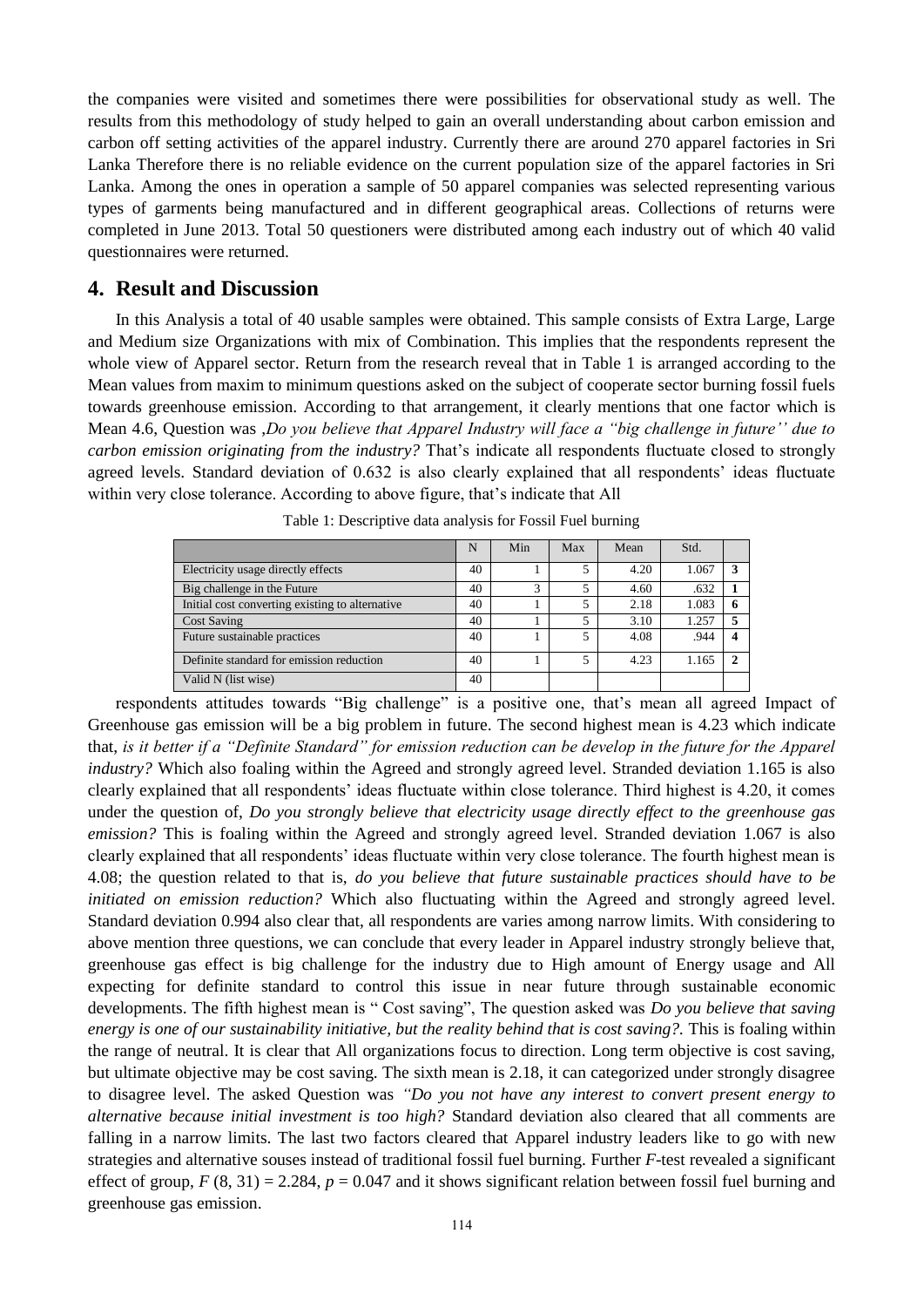the companies were visited and sometimes there were possibilities for observational study as well. The results from this methodology of study helped to gain an overall understanding about carbon emission and carbon off setting activities of the apparel industry. Currently there are around 270 apparel factories in Sri Lanka Therefore there is no reliable evidence on the current population size of the apparel factories in Sri Lanka. Among the ones in operation a sample of 50 apparel companies was selected representing various types of garments being manufactured and in different geographical areas. Collections of returns were completed in June 2013. Total 50 questioners were distributed among each industry out of which 40 valid questionnaires were returned.

#### **4. Result and Discussion**

In this Analysis a total of 40 usable samples were obtained. This sample consists of Extra Large, Large and Medium size Organizations with mix of Combination. This implies that the respondents represent the whole view of Apparel sector. Return from the research reveal that in Table 1 is arranged according to the Mean values from maxim to minimum questions asked on the subject of cooperate sector burning fossil fuels towards greenhouse emission. According to that arrangement, it clearly mentions that one factor which is Mean 4.6, Question was ,*Do you believe that Apparel Industry will face a "big challenge in future'' due to carbon emission originating from the industry?* That's indicate all respondents fluctuate closed to strongly agreed levels. Standard deviation of 0.632 is also clearly explained that all respondents' ideas fluctuate within very close tolerance. According to above figure, that's indicate that All

|                                                 | N  | Min | Max | Mean | Std.  |               |
|-------------------------------------------------|----|-----|-----|------|-------|---------------|
| Electricity usage directly effects              | 40 |     |     | 4.20 | 1.067 |               |
| Big challenge in the Future                     | 40 | 3   | 5   | 4.60 | .632  |               |
| Initial cost converting existing to alternative | 40 |     | 5   | 2.18 | 1.083 |               |
| <b>Cost Saving</b>                              | 40 |     | 5   | 3.10 | 1.257 | 5             |
| Future sustainable practices                    | 40 |     | 5   | 4.08 | .944  | 4             |
| Definite standard for emission reduction        | 40 |     | 5   | 4.23 | 1.165 | $\mathcal{D}$ |
| Valid N (list wise)                             | 40 |     |     |      |       |               |

Table 1: Descriptive data analysis for Fossil Fuel burning

respondents attitudes towards "Big challenge" is a positive one, that's mean all agreed Impact of Greenhouse gas emission will be a big problem in future. The second highest mean is 4.23 which indicate that, *is it better if a "Definite Standard" for emission reduction can be develop in the future for the Apparel industry?* Which also foaling within the Agreed and strongly agreed level. Stranded deviation 1.165 is also clearly explained that all respondents' ideas fluctuate within close tolerance. Third highest is 4.20, it comes under the question of, *Do you strongly believe that electricity usage directly effect to the greenhouse gas emission?* This is foaling within the Agreed and strongly agreed level. Stranded deviation 1.067 is also clearly explained that all respondents' ideas fluctuate within very close tolerance. The fourth highest mean is 4.08; the question related to that is, *do you believe that future sustainable practices should have to be initiated on emission reduction?* Which also fluctuating within the Agreed and strongly agreed level. Standard deviation 0.994 also clear that, all respondents are varies among narrow limits. With considering to above mention three questions, we can conclude that every leader in Apparel industry strongly believe that, greenhouse gas effect is big challenge for the industry due to High amount of Energy usage and All expecting for definite standard to control this issue in near future through sustainable economic developments. The fifth highest mean is " Cost saving", The question asked was *Do you believe that saving energy is one of our sustainability initiative, but the reality behind that is cost saving?.* This is foaling within the range of neutral. It is clear that All organizations focus to direction. Long term objective is cost saving, but ultimate objective may be cost saving. The sixth mean is 2.18, it can categorized under strongly disagree to disagree level. The asked Question was *"Do you not have any interest to convert present energy to alternative because initial investment is too high?* Standard deviation also cleared that all comments are falling in a narrow limits. The last two factors cleared that Apparel industry leaders like to go with new strategies and alternative souses instead of traditional fossil fuel burning. Further *F*-test revealed a significant effect of group,  $F(8, 31) = 2.284$ ,  $p = 0.047$  and it shows significant relation between fossil fuel burning and greenhouse gas emission.